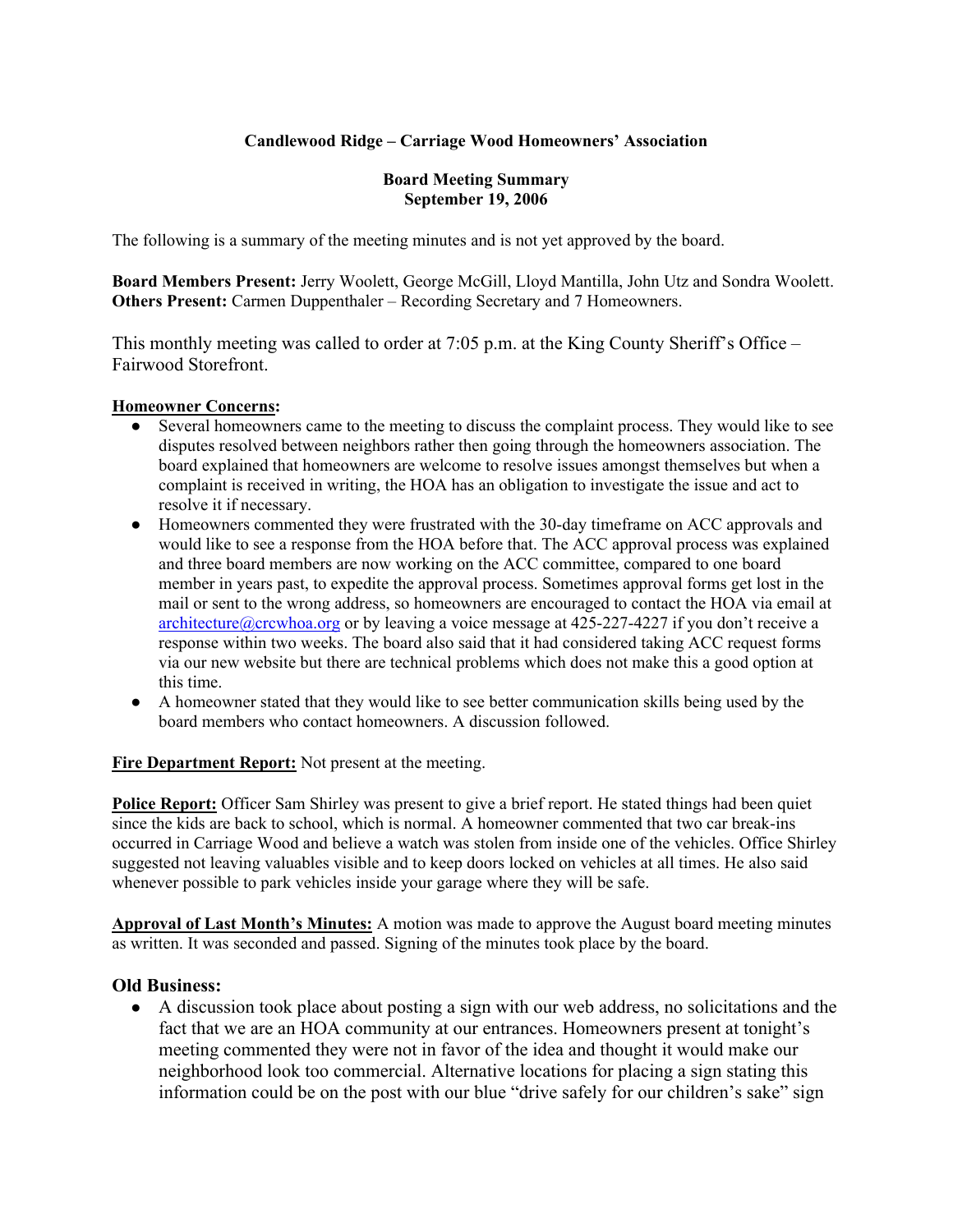## **Candlewood Ridge – Carriage Wood Homeowners' Association**

#### **Board Meeting Summary September 19, 2006**

The following is a summary of the meeting minutes and is not yet approved by the board.

**Board Members Present:** Jerry Woolett, George McGill, Lloyd Mantilla, John Utz and Sondra Woolett. **Others Present:** Carmen Duppenthaler – Recording Secretary and 7 Homeowners.

This monthly meeting was called to order at 7:05 p.m. at the King County Sheriff's Office – Fairwood Storefront.

#### **Homeowner Concerns:**

- Several homeowners came to the meeting to discuss the complaint process. They would like to see disputes resolved between neighbors rather then going through the homeowners association. The board explained that homeowners are welcome to resolve issues amongst themselves but when a complaint is received in writing, the HOA has an obligation to investigate the issue and act to resolve it if necessary.
- Homeowners commented they were frustrated with the 30-day timeframe on ACC approvals and would like to see a response from the HOA before that. The ACC approval process was explained and three board members are now working on the ACC committee, compared to one board member in years past, to expedite the approval process. Sometimes approval forms get lost in the mail or sent to the wrong address, so homeowners are encouraged to contact the HOA via email at architecture@crcwhoa.org or by leaving a voice message at  $425-227-4227$  if you don't receive a response within two weeks. The board also said that it had considered taking ACC request forms via our new website but there are technical problems which does not make this a good option at this time.
- A homeowner stated that they would like to see better communication skills being used by the board members who contact homeowners. A discussion followed.

**Fire Department Report:** Not present at the meeting.

**Police Report:** Officer Sam Shirley was present to give a brief report. He stated things had been quiet since the kids are back to school, which is normal. A homeowner commented that two car break-ins occurred in Carriage Wood and believe a watch was stolen from inside one of the vehicles. Office Shirley suggested not leaving valuables visible and to keep doors locked on vehicles at all times. He also said whenever possible to park vehicles inside your garage where they will be safe.

**Approval of Last Month's Minutes:** A motion was made to approve the August board meeting minutes as written. It was seconded and passed. Signing of the minutes took place by the board.

### **Old Business:**

● A discussion took place about posting a sign with our web address, no solicitations and the fact that we are an HOA community at our entrances. Homeowners present at tonight's meeting commented they were not in favor of the idea and thought it would make our neighborhood look too commercial. Alternative locations for placing a sign stating this information could be on the post with our blue "drive safely for our children's sake" sign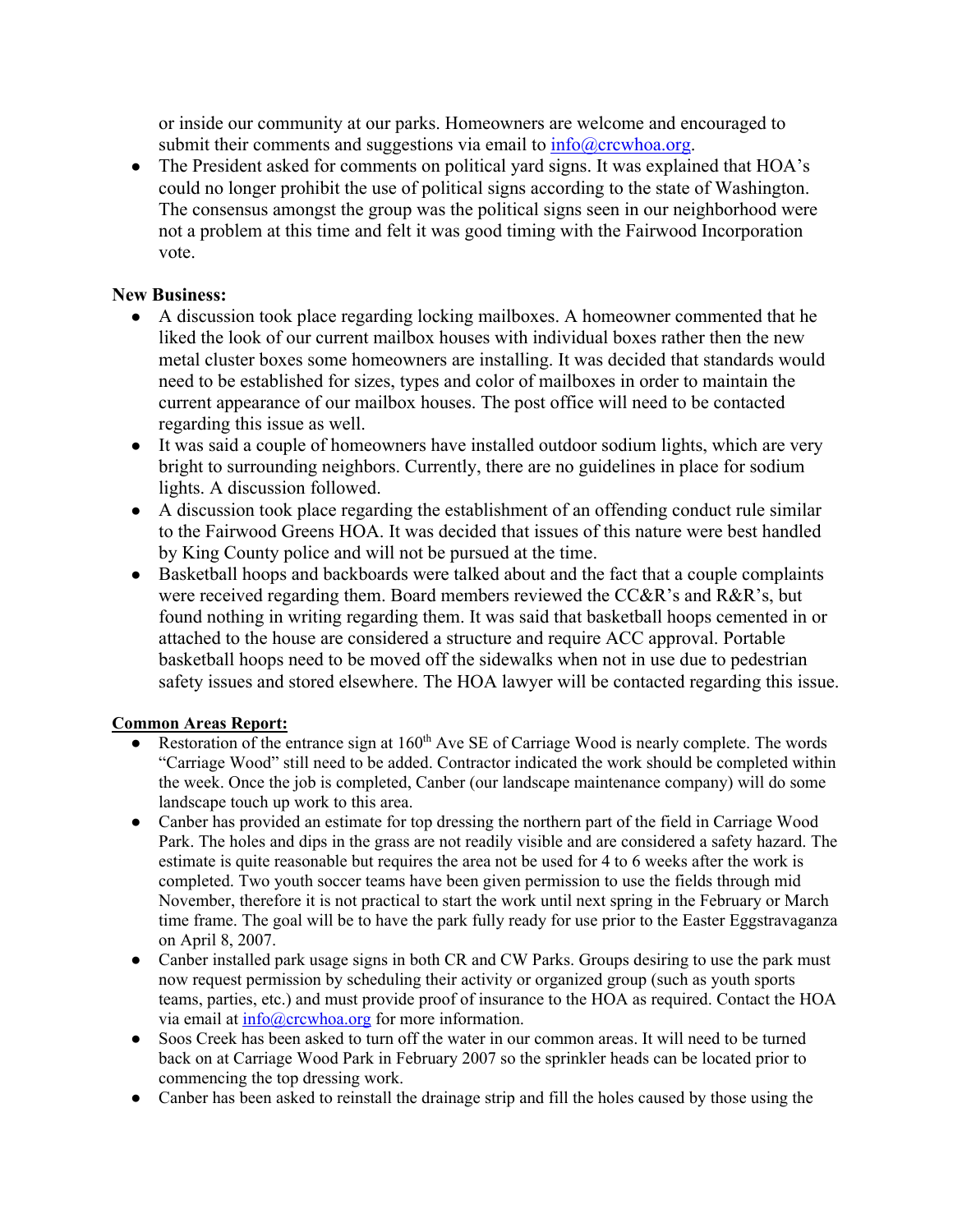or inside our community at our parks. Homeowners are welcome and encouraged to submit their comments and suggestions via email to  $info@crcwhoa.org$ .

• The President asked for comments on political yard signs. It was explained that HOA's could no longer prohibit the use of political signs according to the state of Washington. The consensus amongst the group was the political signs seen in our neighborhood were not a problem at this time and felt it was good timing with the Fairwood Incorporation vote.

## **New Business:**

- A discussion took place regarding locking mailboxes. A homeowner commented that he liked the look of our current mailbox houses with individual boxes rather then the new metal cluster boxes some homeowners are installing. It was decided that standards would need to be established for sizes, types and color of mailboxes in order to maintain the current appearance of our mailbox houses. The post office will need to be contacted regarding this issue as well.
- It was said a couple of homeowners have installed outdoor sodium lights, which are very bright to surrounding neighbors. Currently, there are no guidelines in place for sodium lights. A discussion followed.
- A discussion took place regarding the establishment of an offending conduct rule similar to the Fairwood Greens HOA. It was decided that issues of this nature were best handled by King County police and will not be pursued at the time.
- Basketball hoops and backboards were talked about and the fact that a couple complaints were received regarding them. Board members reviewed the CC&R's and R&R's, but found nothing in writing regarding them. It was said that basketball hoops cemented in or attached to the house are considered a structure and require ACC approval. Portable basketball hoops need to be moved off the sidewalks when not in use due to pedestrian safety issues and stored elsewhere. The HOA lawyer will be contacted regarding this issue.

### **Common Areas Report:**

- Restoration of the entrance sign at 160<sup>th</sup> Ave SE of Carriage Wood is nearly complete. The words "Carriage Wood" still need to be added. Contractor indicated the work should be completed within the week. Once the job is completed, Canber (our landscape maintenance company) will do some landscape touch up work to this area.
- Canber has provided an estimate for top dressing the northern part of the field in Carriage Wood Park. The holes and dips in the grass are not readily visible and are considered a safety hazard. The estimate is quite reasonable but requires the area not be used for 4 to 6 weeks after the work is completed. Two youth soccer teams have been given permission to use the fields through mid November, therefore it is not practical to start the work until next spring in the February or March time frame. The goal will be to have the park fully ready for use prior to the Easter Eggstravaganza on April 8, 2007.
- Canber installed park usage signs in both CR and CW Parks. Groups desiring to use the park must now request permission by scheduling their activity or organized group (such as youth sports teams, parties, etc.) and must provide proof of insurance to the HOA as required. Contact the HOA via email at info@crcwhoa.org for more information.
- Soos Creek has been asked to turn off the water in our common areas. It will need to be turned back on at Carriage Wood Park in February 2007 so the sprinkler heads can be located prior to commencing the top dressing work.
- Canber has been asked to reinstall the drainage strip and fill the holes caused by those using the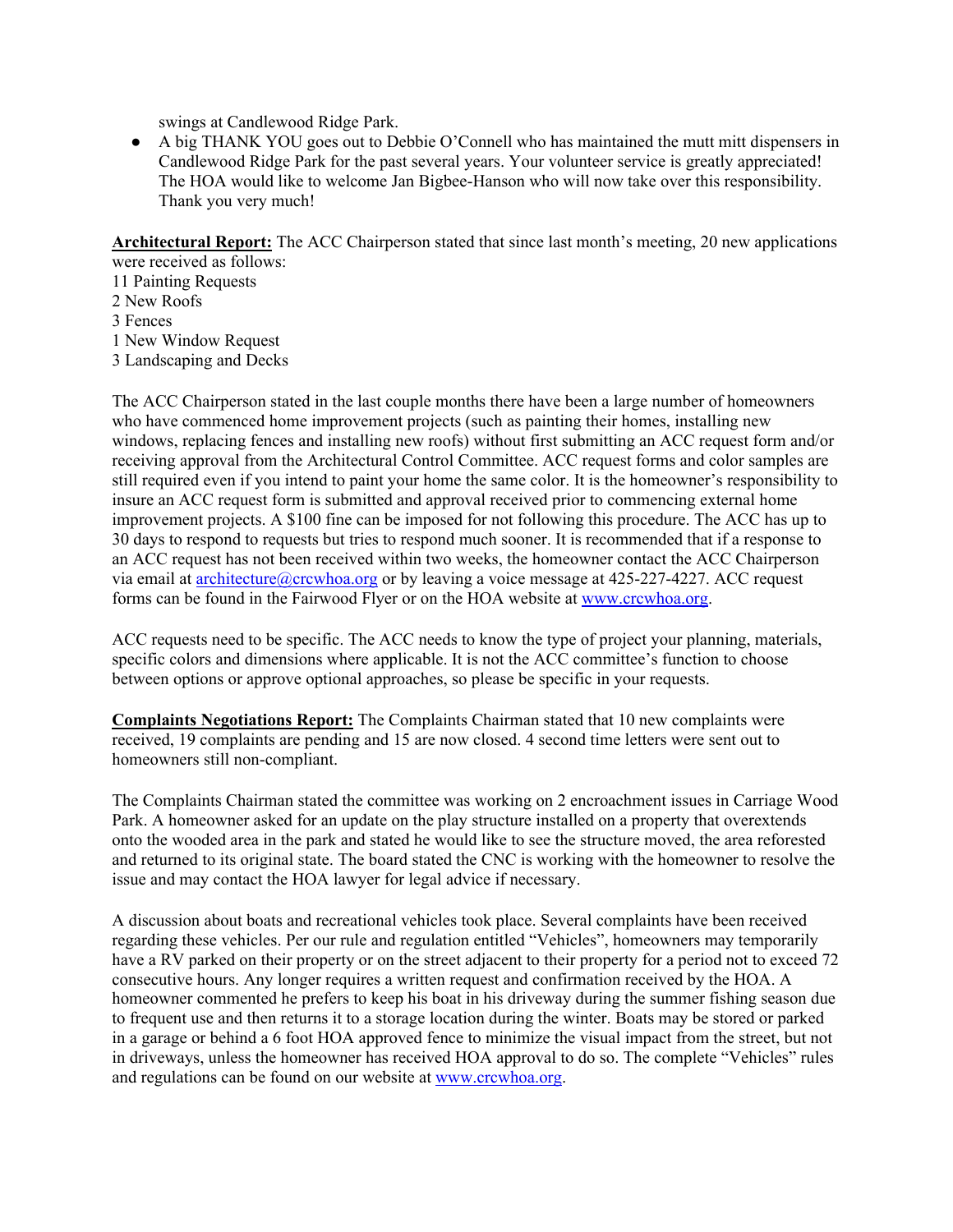swings at Candlewood Ridge Park.

● A big THANK YOU goes out to Debbie O'Connell who has maintained the mutt mitt dispensers in Candlewood Ridge Park for the past several years. Your volunteer service is greatly appreciated! The HOA would like to welcome Jan Bigbee-Hanson who will now take over this responsibility. Thank you very much!

**Architectural Report:** The ACC Chairperson stated that since last month's meeting, 20 new applications were received as follows:

11 Painting Requests 2 New Roofs

3 Fences

1 New Window Request

3 Landscaping and Decks

The ACC Chairperson stated in the last couple months there have been a large number of homeowners who have commenced home improvement projects (such as painting their homes, installing new windows, replacing fences and installing new roofs) without first submitting an ACC request form and/or receiving approval from the Architectural Control Committee. ACC request forms and color samples are still required even if you intend to paint your home the same color. It is the homeowner's responsibility to insure an ACC request form is submitted and approval received prior to commencing external home improvement projects. A \$100 fine can be imposed for not following this procedure. The ACC has up to 30 days to respond to requests but tries to respond much sooner. It is recommended that if a response to an ACC request has not been received within two weeks, the homeowner contact the ACC Chairperson via email at architecture@crcwhoa.org or by leaving a voice message at 425-227-4227. ACC request forms can be found in the Fairwood Flyer or on the HOA website at www.crcwhoa.org.

ACC requests need to be specific. The ACC needs to know the type of project your planning, materials, specific colors and dimensions where applicable. It is not the ACC committee's function to choose between options or approve optional approaches, so please be specific in your requests.

**Complaints Negotiations Report:** The Complaints Chairman stated that 10 new complaints were received, 19 complaints are pending and 15 are now closed. 4 second time letters were sent out to homeowners still non-compliant.

The Complaints Chairman stated the committee was working on 2 encroachment issues in Carriage Wood Park. A homeowner asked for an update on the play structure installed on a property that overextends onto the wooded area in the park and stated he would like to see the structure moved, the area reforested and returned to its original state. The board stated the CNC is working with the homeowner to resolve the issue and may contact the HOA lawyer for legal advice if necessary.

A discussion about boats and recreational vehicles took place. Several complaints have been received regarding these vehicles. Per our rule and regulation entitled "Vehicles", homeowners may temporarily have a RV parked on their property or on the street adjacent to their property for a period not to exceed 72 consecutive hours. Any longer requires a written request and confirmation received by the HOA. A homeowner commented he prefers to keep his boat in his driveway during the summer fishing season due to frequent use and then returns it to a storage location during the winter. Boats may be stored or parked in a garage or behind a 6 foot HOA approved fence to minimize the visual impact from the street, but not in driveways, unless the homeowner has received HOA approval to do so. The complete "Vehicles" rules and regulations can be found on our website at www.crcwhoa.org.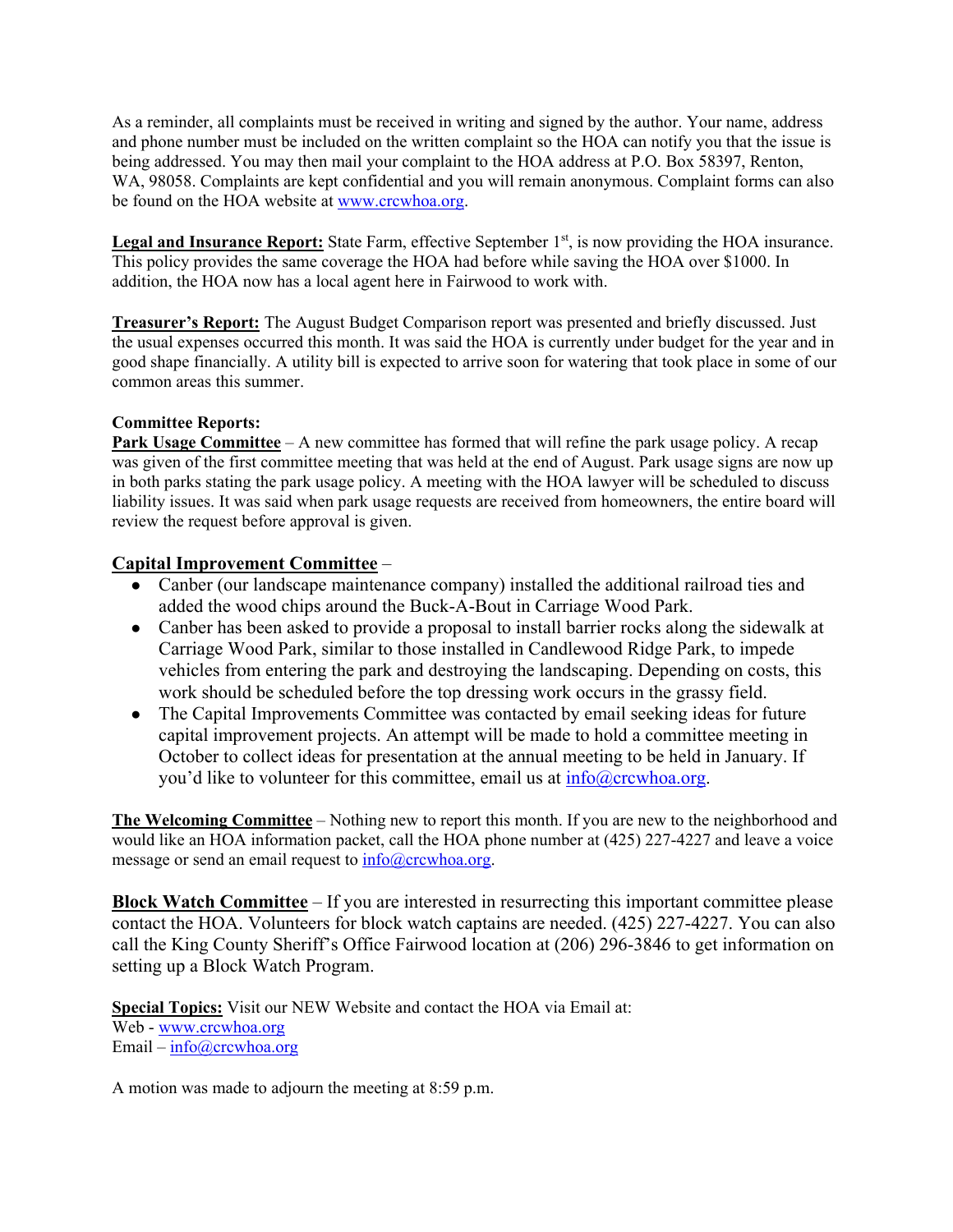As a reminder, all complaints must be received in writing and signed by the author. Your name, address and phone number must be included on the written complaint so the HOA can notify you that the issue is being addressed. You may then mail your complaint to the HOA address at P.O. Box 58397, Renton, WA, 98058. Complaints are kept confidential and you will remain anonymous. Complaint forms can also be found on the HOA website at www.crcwhoa.org.

**Legal and Insurance Report:** State Farm, effective September 1<sup>st</sup>, is now providing the HOA insurance. This policy provides the same coverage the HOA had before while saving the HOA over \$1000. In addition, the HOA now has a local agent here in Fairwood to work with.

**Treasurer's Report:** The August Budget Comparison report was presented and briefly discussed. Just the usual expenses occurred this month. It was said the HOA is currently under budget for the year and in good shape financially. A utility bill is expected to arrive soon for watering that took place in some of our common areas this summer.

### **Committee Reports:**

**Park Usage Committee** – A new committee has formed that will refine the park usage policy. A recap was given of the first committee meeting that was held at the end of August. Park usage signs are now up in both parks stating the park usage policy. A meeting with the HOA lawyer will be scheduled to discuss liability issues. It was said when park usage requests are received from homeowners, the entire board will review the request before approval is given.

### **Capital Improvement Committee** –

- Canber (our landscape maintenance company) installed the additional railroad ties and added the wood chips around the Buck-A-Bout in Carriage Wood Park.
- Canber has been asked to provide a proposal to install barrier rocks along the sidewalk at Carriage Wood Park, similar to those installed in Candlewood Ridge Park, to impede vehicles from entering the park and destroying the landscaping. Depending on costs, this work should be scheduled before the top dressing work occurs in the grassy field.
- The Capital Improvements Committee was contacted by email seeking ideas for future capital improvement projects. An attempt will be made to hold a committee meeting in October to collect ideas for presentation at the annual meeting to be held in January. If you'd like to volunteer for this committee, email us at  $\frac{info(\omega)$ crcwhoa.org.

**The Welcoming Committee** – Nothing new to report this month. If you are new to the neighborhood and would like an HOA information packet, call the HOA phone number at (425) 227-4227 and leave a voice message or send an email request to  $info@crcwhoa.org$ .

**Block Watch Committee** – If you are interested in resurrecting this important committee please contact the HOA. Volunteers for block watch captains are needed. (425) 227-4227. You can also call the King County Sheriff's Office Fairwood location at (206) 296-3846 to get information on setting up a Block Watch Program.

**Special Topics:** Visit our NEW Website and contact the HOA via Email at: Web - www.crcwhoa.org Email –  $info@crcwhoa.org$ 

A motion was made to adjourn the meeting at 8:59 p.m.